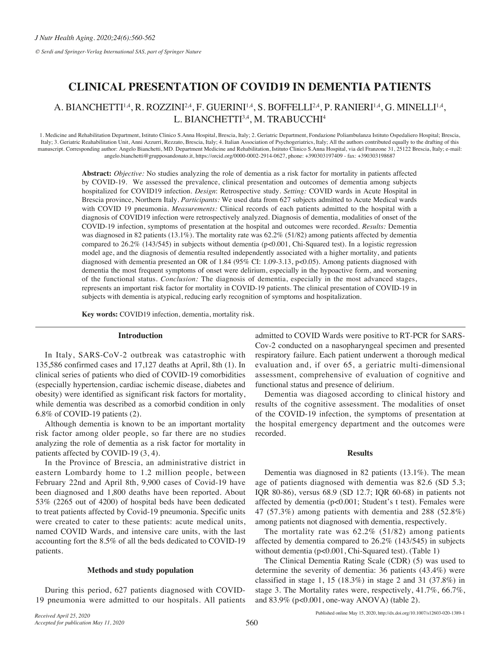*© Serdi and Springer-Verlag International SAS, part of Springer Nature*

# **CLINICAL PRESENTATION OF COVID19 IN DEMENTIA PATIENTS**

# A. BIANCHETTI<sup>1,4</sup>, R. ROZZINI<sup>2,4</sup>, F. GUERINI<sup>1,4</sup>, S. BOFFELLI<sup>2,4</sup>, P. RANIERI<sup>1,4</sup>, G. MINELLI<sup>1,4</sup>, L. BIANCHETTI<sup>3,4</sup>, M. TRABUCCHI<sup>4</sup>

1. Medicine and Rehabilitation Department, Istituto Clinico S.Anna Hospital, Brescia, Italy; 2. Geriatric Department, Fondazione Poliambulanza Istituto Ospedaliero Hospital; Brescia, Italy; 3. Geriatric Reahabilitation Unit, Anni Azzurri, Rezzato, Brescia, Italy; 4. Italian Association of Psychogeriatrics, Italy; All the authors contributed equally to the drafting of this manuscript. Corresponding author: Angelo Bianchetti, MD. Department Medicine and Rehabilitation, Istituto Clinico S.Anna Hospital, via del Franzone 31, 25122 Brescia, Italy; e-mail: angelo.bianchetti@grupposandonato.it, https://orcid.org/0000-0002-2914-0627, phone: +390303197409 - fax: +390303198687

> **Abstract:** *Objective:* No studies analyzing the role of dementia as a risk factor for mortality in patients affected by COVID-19. We assessed the prevalence, clinical presentation and outcomes of dementia among subjects hospitalized for COVID19 infection. *Design*: Retrospective study. *Setting:* COVID wards in Acute Hospital in Brescia province, Northern Italy. *Participants:* We used data from 627 subjects admitted to Acute Medical wards with COVID 19 pneumonia. *Measurements:* Clinical records of each patients admitted to the hospital with a diagnosis of COVID19 infection were retrospectively analyzed. Diagnosis of dementia, modalities of onset of the COVID-19 infection, symptoms of presentation at the hospital and outcomes were recorded. *Results:* Dementia was diagnosed in 82 patients (13.1%). The mortality rate was 62.2% (51/82) among patients affected by dementia compared to 26.2% (143/545) in subjects without dementia (p<0.001, Chi-Squared test). In a logistic regression model age, and the diagnosis of dementia resulted independently associated with a higher mortality, and patients diagnosed with dementia presented an OR of 1.84 (95% CI: 1.09-3.13, p<0.05). Among patients diagnosed with dementia the most frequent symptoms of onset were delirium, especially in the hypoactive form, and worsening of the functional status. *Conclusion:* The diagnosis of dementia, especially in the most advanced stages, represents an important risk factor for mortality in COVID-19 patients. The clinical presentation of COVID-19 in subjects with dementia is atypical, reducing early recognition of symptoms and hospitalization.

**Key words:** COVID19 infection, dementia, mortality risk.

### **Introduction**

In Italy, SARS-CoV-2 outbreak was catastrophic with 135,586 confirmed cases and 17,127 deaths at April, 8th (1). In clinical series of patients who died of COVID-19 comorbidities (especially hypertension, cardiac ischemic disease, diabetes and obesity) were identified as significant risk factors for mortality, while dementia was described as a comorbid condition in only 6.8% of COVID-19 patients (2).

Although dementia is known to be an important mortality risk factor among older people, so far there are no studies analyzing the role of dementia as a risk factor for mortality in patients affected by COVID-19 (3, 4).

In the Province of Brescia, an administrative district in eastern Lombardy home to 1.2 million people, between February 22nd and April 8th, 9,900 cases of Covid-19 have been diagnosed and 1,800 deaths have been reported. About 53% (2265 out of 4200) of hospital beds have been dedicated to treat patients affected by Covid-19 pneumonia. Specific units were created to cater to these patients: acute medical units, named COVID Wards, and intensive care units, with the last accounting fort the 8.5% of all the beds dedicated to COVID-19 patients.

## **Methods and study population**

During this period, 627 patients diagnosed with COVID-19 pneumonia were admitted to our hospitals. All patients admitted to COVID Wards were positive to RT-PCR for SARS-Cov-2 conducted on a nasopharyngeal specimen and presented respiratory failure. Each patient underwent a thorough medical evaluation and, if over 65, a geriatric multi-dimensional assessment, comprehensive of evaluation of cognitive and functional status and presence of delirium.

Dementia was diagosed according to clinical history and results of the cognitive assessment. The modalities of onset of the COVID-19 infection, the symptoms of presentation at the hospital emergency department and the outcomes were recorded.

# **Results**

Dementia was diagnosed in 82 patients (13.1%). The mean age of patients diagnosed with dementia was 82.6 (SD 5.3; IQR 80-86), versus 68.9 (SD 12.7; IQR 60-68) in patients not affected by dementia (p<0.001; Student's t test). Females were 47 (57.3%) among patients with dementia and 288 (52.8%) among patients not diagnosed with dementia, respectively.

The mortality rate was 62.2% (51/82) among patients affected by dementia compared to 26.2% (143/545) in subjects without dementia (p<0.001, Chi-Squared test). (Table 1)

The Clinical Dementia Rating Scale (CDR) (5) was used to determine the severity of dementia: 36 patients (43.4%) were classified in stage 1, 15 (18.3%) in stage 2 and 31 (37.8%) in stage 3. The Mortality rates were, respectively, 41.7%, 66.7%, and 83.9% (p<0.001, one-way ANOVA) (table 2).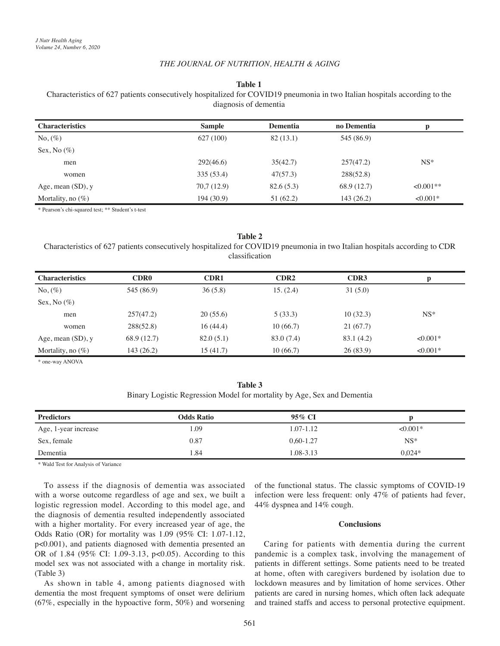## *THE JOURNAL OF NUTRITION, HEALTH & AGING*

### **Table 1**

Characteristics of 627 patients consecutively hospitalized for COVID19 pneumonia in two Italian hospitals according to the diagnosis of dementia

| <b>Characteristics</b> | <b>Sample</b> | <b>Dementia</b> | no Dementia | р          |
|------------------------|---------------|-----------------|-------------|------------|
| $No, (\%)$             | 627 (100)     | 82(13.1)        | 545 (86.9)  |            |
| Sex, No $(\%)$         |               |                 |             |            |
| men                    | 292(46.6)     | 35(42.7)        | 257(47.2)   | $NS^*$     |
| women                  | 335 (53.4)    | 47(57.3)        | 288(52.8)   |            |
| Age, mean $(SD)$ , y   | 70,7(12.9)    | 82.6(5.3)       | 68.9 (12.7) | $<0.001**$ |
| Mortality, no $(\%)$   | 194 (30.9)    | 51(62.2)        | 143(26.2)   | $<0.001*$  |

\* Pearson's chi-squared test; \*\* Student's t-test

# **Table 2** Characteristics of 627 patients consecutively hospitalized for COVID19 pneumonia in two Italian hospitals according to CDR classifcation

| <b>Characteristics</b> | <b>CDR0</b> | CDR1      | CDR <sub>2</sub> | CDR <sub>3</sub> | р         |
|------------------------|-------------|-----------|------------------|------------------|-----------|
| $No, (\%)$             | 545 (86.9)  | 36(5.8)   | 15. (2.4)        | 31(5.0)          |           |
| Sex, No $(\%)$         |             |           |                  |                  |           |
| men                    | 257(47.2)   | 20(55.6)  | 5(33.3)          | 10(32.3)         | $NS^*$    |
| women                  | 288(52.8)   | 16(44.4)  | 10(66.7)         | 21(67.7)         |           |
| Age, mean $(SD)$ , y   | 68.9 (12.7) | 82.0(5.1) | 83.0 (7.4)       | 83.1 (4.2)       | $<0.001*$ |
| Mortality, no $(\%)$   | 143(26.2)   | 15 (41.7) | 10(66.7)         | 26(83.9)         | $<0.001*$ |

\* one-way ANOVA

| Table 3                                                                 |  |
|-------------------------------------------------------------------------|--|
| Binary Logistic Regression Model for mortality by Age, Sex and Dementia |  |

| <b>Predictors</b>    | <b>Odds Ratio</b> | 95% CI        |           |
|----------------------|-------------------|---------------|-----------|
| Age, 1-year increase | l.09              | 1.07-1.12     | $<0.001*$ |
| Sex, female          | 0.87              | $0.60 - 1.27$ | $NS*$     |
| Dementia             | .84               | 1.08-3.13     | $0.024*$  |

\* Wald Test for Analysis of Variance

To assess if the diagnosis of dementia was associated with a worse outcome regardless of age and sex, we built a logistic regression model. According to this model age, and the diagnosis of dementia resulted independently associated with a higher mortality. For every increased year of age, the Odds Ratio (OR) for mortality was 1.09 (95% CI: 1.07-1.12, p<0.001), and patients diagnosed with dementia presented an OR of 1.84 (95% CI: 1.09-3.13, p<0.05). According to this model sex was not associated with a change in mortality risk. (Table 3)

As shown in table 4, among patients diagnosed with dementia the most frequent symptoms of onset were delirium (67%, especially in the hypoactive form, 50%) and worsening of the functional status. The classic symptoms of COVID-19 infection were less frequent: only 47% of patients had fever, 44% dyspnea and 14% cough.

# **Conclusions**

Caring for patients with dementia during the current pandemic is a complex task, involving the management of patients in different settings. Some patients need to be treated at home, often with caregivers burdened by isolation due to lockdown measures and by limitation of home services. Other patients are cared in nursing homes, which often lack adequate and trained staffs and access to personal protective equipment.